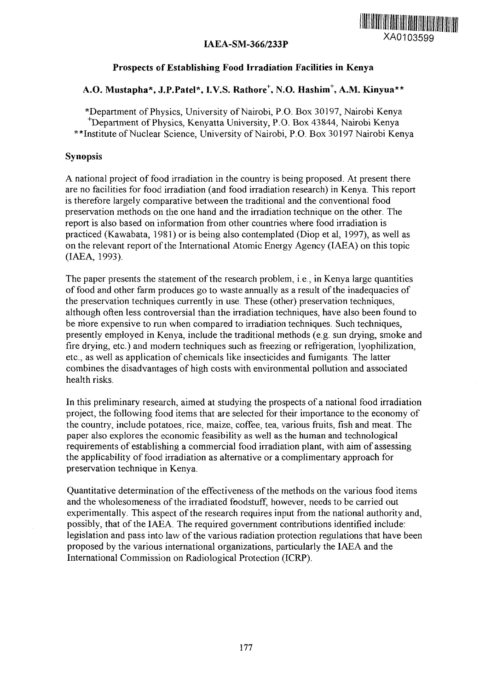



## **Prospects of Establishing Food Irradiation Facilities in Kenya**

## **A.O. Mustapha\*, J.P.Patel\*, I.V.S. Rathore<sup>+</sup> , N.O. Hashim<sup>+</sup> , A.M. Kinyua\*\***

\*Department of Physics, University of Nairobi, P.O. Box 30197, Nairobi Kenya ^Department of Physics, Kenyatta University, P.O. Box 43844, Nairobi Kenya \*\*Institute of Nuclear Science, University of Nairobi, P.O. Box 30197 Nairobi Kenya

## Synopsis

A national project of food irradiation in the country is being proposed. At present there are no facilities for food irradiation (and food irradiation research) in Kenya. This report is therefore largely comparative between the traditional and the conventional food preservation methods on the one hand and the irradiation technique on the other. The report is also based on information from other countries where food irradiation is practiced (Kawabata, 1981) or is being also contemplated (Diop et al, 1997), as well as on the relevant report of the International Atomic Energy Agency (IAEA) on this topic (IAEA, 1993).

The paper presents the statement of the research problem, i.e., in Kenya large quantities of food and other farm produces go to waste annually as a result of the inadequacies of the preservation techniques currently in use. These (other) preservation techniques, although often less controversial than the irradiation techniques, have also been found to be more expensive to run when compared to irradiation techniques. Such techniques, presently employed in Kenya, include the traditional methods (e.g. sun drying, smoke and fire drying, etc.) and modern techniques such as freezing or refrigeration, lyophilization, etc., as well as application of chemicals like insecticides and fumigants. The latter combines the disadvantages of high costs with environmental pollution and associated health risks.

In this preliminary research, aimed at studying the prospects of a national food irradiation project, the following food items that are selected for their importance to the economy of the country, include potatoes, rice, maize, coffee, tea, various fruits, fish and meat. The paper also explores the economic feasibility as well as the human and technological requirements of establishing a commercial food irradiation plant, with aim of assessing the applicability of food irradiation as alternative or a complimentary approach for preservation technique in Kenya.

Quantitative determination of the effectiveness of the methods on the various food items and the wholesomeness of the irradiated foodstuff, however, needs to be carried out experimentally. This aspect of the research requires input from the national authority and, possibly, that of the IAEA. The required government contributions identified include: legislation and pass into law of the various radiation protection regulations that have been proposed by the various international organizations, particularly the IAEA and the International Commission on Radiological Protection (ICRP).